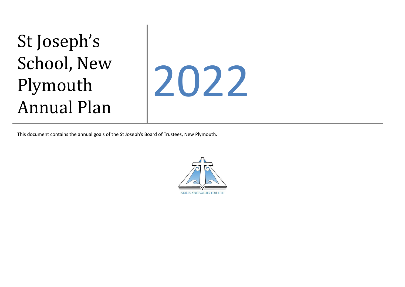## St Joseph's School, New Plymouth Annual Plan



This document contains the annual goals of the St Joseph's Board of Trustees, New Plymouth.

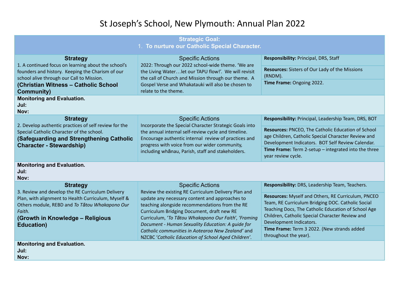## St Joseph's School, New Plymouth: Annual Plan 2022

| <b>Strategic Goal:</b><br>1. To nurture our Catholic Special Character.                                                                                                                                                                  |                                                                                                                                                                                                                                                                                                                                                                                                                                                           |                                                                                                                                                                                                                                                                                                                                                                         |  |
|------------------------------------------------------------------------------------------------------------------------------------------------------------------------------------------------------------------------------------------|-----------------------------------------------------------------------------------------------------------------------------------------------------------------------------------------------------------------------------------------------------------------------------------------------------------------------------------------------------------------------------------------------------------------------------------------------------------|-------------------------------------------------------------------------------------------------------------------------------------------------------------------------------------------------------------------------------------------------------------------------------------------------------------------------------------------------------------------------|--|
| <b>Strategy</b><br>1. A continued focus on learning about the school's<br>founders and history. Keeping the Charism of our<br>school alive through our Call to Mission.<br>(Christian Witness - Catholic School<br><b>Community)</b>     | <b>Specific Actions</b><br>2022: Through our 2022 school-wide theme. 'We are<br>the Living Waterlet our TAPU flow!'. We will revisit<br>the call of Church and Mission through our theme. A<br>Gospel Verse and Whakatauki will also be chosen to<br>relate to the theme.                                                                                                                                                                                 | Responsibility: Principal, DRS, Staff<br><b>Resources:</b> Sisters of Our Lady of the Missions<br>(RNDM).<br>Time Frame: Ongoing 2022.                                                                                                                                                                                                                                  |  |
| <b>Monitoring and Evaluation.</b><br>Jul:<br>Nov:                                                                                                                                                                                        |                                                                                                                                                                                                                                                                                                                                                                                                                                                           |                                                                                                                                                                                                                                                                                                                                                                         |  |
| <b>Strategy</b><br>2. Develop authentic practices of self review for the<br>Special Catholic Character of the school.<br>(Safeguarding and Strengthening Catholic<br><b>Character - Stewardship)</b>                                     | <b>Specific Actions</b><br>Incorporate the Special Character Strategic Goals into<br>the annual internal self-review cycle and timeline.<br>Encourage authentic internal review of practices and<br>progress with voice from our wider community,<br>including whanau, Parish, staff and stakeholders.                                                                                                                                                    | Responsibility: Principal, Leadership Team, DRS, BOT<br>Resources: PNCEO, The Catholic Education of School<br>age Children, Catholic Special Character Review and<br>Development Indicators. BOT Self Review Calendar.<br>Time Frame: Term 2-setup $-$ integrated into the three<br>year review cycle.                                                                  |  |
| <b>Monitoring and Evaluation.</b><br>Jul:<br>Nov:                                                                                                                                                                                        |                                                                                                                                                                                                                                                                                                                                                                                                                                                           |                                                                                                                                                                                                                                                                                                                                                                         |  |
| <b>Strategy</b><br>3. Review and develop the RE Curriculum Delivery<br>Plan, with alignment to Health Curriculum, Myself &<br>Others module, REBD and To Tātou Whakapono Our<br>Faith.<br>(Growth in Knowledge - Religious<br>Education) | <b>Specific Actions</b><br>Review the existing RE Curriculum Delivery Plan and<br>update any necessary content and approaches to<br>teaching alongside recommendations from the RE<br>Curriculum Bridging Document, draft new RE<br>Curriculum, 'To Tātou Whakapono Our Faith', 'Framing<br>Document - Human Sexuality Education: A guide for<br>Catholic communities in Aotearoa New Zealand' and<br>NZCBC 'Catholic Education of School Aged Children'. | Responsibility: DRS, Leadership Team, Teachers.<br>Resources: Myself and Others, RE Curriculum, PNCEO<br>Team, RE Curriculum Bridging DOC. Catholic Social<br>Teaching Docs, The Catholic Education of School Age<br>Children, Catholic Special Character Review and<br>Development Indicators.<br>Time Frame: Term 3 2022. (New strands added<br>throughout the year). |  |
| <b>Monitoring and Evaluation.</b><br>Jul:<br>Nov:                                                                                                                                                                                        |                                                                                                                                                                                                                                                                                                                                                                                                                                                           |                                                                                                                                                                                                                                                                                                                                                                         |  |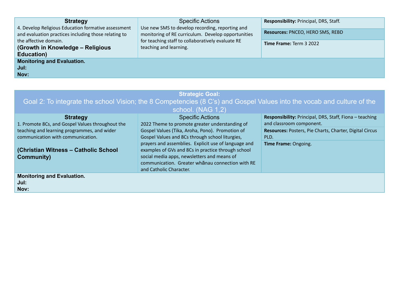| <b>Strategy</b><br>4. Develop Religious Education formative assessment<br>and evaluation practices including those relating to<br>the affective domain.<br>(Growth in Knowledge - Religious<br><b>Education</b> ) | <b>Specific Actions</b><br>Use new SMS to develop recording, reporting and<br>monitoring of RE curriculum. Develop opportunities<br>for teaching staff to collaboratively evaluate RE<br>teaching and learning. | Responsibility: Principal, DRS, Staff.<br>Resources: PNCEO, HERO SMS, REBD<br><b>Time Frame: Term 3 2022</b> |
|-------------------------------------------------------------------------------------------------------------------------------------------------------------------------------------------------------------------|-----------------------------------------------------------------------------------------------------------------------------------------------------------------------------------------------------------------|--------------------------------------------------------------------------------------------------------------|
| <b>Monitoring and Evaluation.</b><br>Jul:<br>Nov:                                                                                                                                                                 |                                                                                                                                                                                                                 |                                                                                                              |

|                                                  | school. (NAG 1,2)                                    |                                                         |
|--------------------------------------------------|------------------------------------------------------|---------------------------------------------------------|
| <b>Strategy</b>                                  | <b>Specific Actions</b>                              | Responsibility: Principal, DRS, Staff, Fiona - teaching |
| 1. Promote 8Cs, and Gospel Values throughout the | 2022 Theme to promote greater understanding of       | and classroom component.                                |
| teaching and learning programmes, and wider      | Gospel Values (Tika, Aroha, Pono). Promotion of      | Resources: Posters, Pie Charts, Charter, Digital Circus |
| communication with communication.                | Gospel Values and 8Cs through school liturgies,      | PLD.                                                    |
|                                                  | prayers and assemblies. Explicit use of language and | Time Frame: Ongoing.                                    |
| (Christian Witness - Catholic School             | examples of GVs and 8Cs in practice through school   |                                                         |
| Community)                                       | social media apps, newsletters and means of          |                                                         |
|                                                  | communication. Greater whanau connection with RE     |                                                         |
|                                                  | and Catholic Character.                              |                                                         |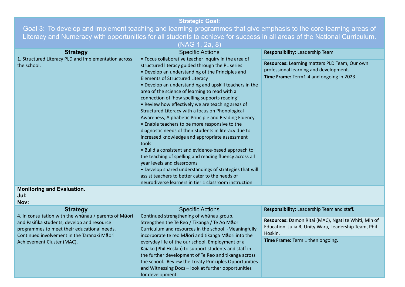## **Strategic Goal:**

Goal 3: To develop and implement teaching and learning programmes that give emphasis to the core learning areas of Literacy and Numeracy with opportunities for all students to achieve for success in all areas of the National Curriculum.

(NAG 1, 2a, 8)

| <b>Strategy</b><br>1. Structured Literacy PLD and Implementation across<br>the school.<br><b>Monitoring and Evaluation.</b>                         | <b>Specific Actions</b><br>• Focus collaborative teacher inquiry in the area of<br>structured literacy guided through the PL series<br>• Develop an understanding of the Principles and<br><b>Elements of Structured Literacy</b><br>• Develop an understanding and upskill teachers in the<br>area of the science of learning to read with a<br>connection of 'how spelling supports reading'<br>• Review how effectively we are teaching areas of<br>Structured Literacy with a focus on Phonological<br>Awareness, Alphabetic Principle and Reading Fluency<br>• Enable teachers to be more responsive to the<br>diagnostic needs of their students in literacy due to<br>increased knowledge and appropriate assessment<br>tools<br>• Build a consistent and evidence-based approach to<br>the teaching of spelling and reading fluency across all<br>year levels and classrooms<br>• Develop shared understandings of strategies that will<br>assist teachers to better cater to the needs of<br>neurodiverse learners in tier 1 classroom instruction | Responsibility: Leadership Team<br>Resources: Learning matters PLD Team, Our own<br>professional learning and development.<br>Time Frame: Term1-4 and ongoing in 2023. |
|-----------------------------------------------------------------------------------------------------------------------------------------------------|-------------------------------------------------------------------------------------------------------------------------------------------------------------------------------------------------------------------------------------------------------------------------------------------------------------------------------------------------------------------------------------------------------------------------------------------------------------------------------------------------------------------------------------------------------------------------------------------------------------------------------------------------------------------------------------------------------------------------------------------------------------------------------------------------------------------------------------------------------------------------------------------------------------------------------------------------------------------------------------------------------------------------------------------------------------|------------------------------------------------------------------------------------------------------------------------------------------------------------------------|
| Jul:<br>Nov:                                                                                                                                        |                                                                                                                                                                                                                                                                                                                                                                                                                                                                                                                                                                                                                                                                                                                                                                                                                                                                                                                                                                                                                                                             |                                                                                                                                                                        |
| <b>Strategy</b>                                                                                                                                     | <b>Specific Actions</b>                                                                                                                                                                                                                                                                                                                                                                                                                                                                                                                                                                                                                                                                                                                                                                                                                                                                                                                                                                                                                                     | Responsibility: Leadership Team and staff.                                                                                                                             |
| 4. In consultation with the whanau / parents of Maori<br>and Pasifika students, develop and resource<br>programmes to meet their educational needs. | Continued strengthening of whanau group.<br>Strengthen the Te Reo / Tikanga / Te Ao Māori<br>Curriculum and resources in the school. -Meaningfully                                                                                                                                                                                                                                                                                                                                                                                                                                                                                                                                                                                                                                                                                                                                                                                                                                                                                                          | Resources: Damon Ritai (MAC), Ngati te Whiti, Min of<br>Education. Julia R, Unity Wara, Leadership Team, Phil<br>Hoskin.                                               |
| Continued involvement in the Taranaki Māori<br>Achievement Cluster (MAC).                                                                           | incorporate te reo Māori and tikanga Māori into the<br>everyday life of the our school. Employment of a<br>Kaiako (Phil Hoskin) to support students and staff in<br>the further development of Te Reo and tikanga across<br>the school. Review the Treaty Principles Opportunities<br>and Witnessing Docs - look at further opportunities<br>for development.                                                                                                                                                                                                                                                                                                                                                                                                                                                                                                                                                                                                                                                                                               | Time Frame: Term 1 then ongoing.                                                                                                                                       |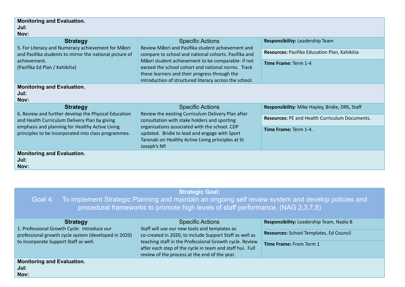| <b>Monitoring and Evaluation.</b><br>Jul:<br>Nov:                                                             |                                                                                                                                                                                                                                                                                                                                  |                                                       |  |
|---------------------------------------------------------------------------------------------------------------|----------------------------------------------------------------------------------------------------------------------------------------------------------------------------------------------------------------------------------------------------------------------------------------------------------------------------------|-------------------------------------------------------|--|
| <b>Strategy</b>                                                                                               | <b>Specific Actions</b>                                                                                                                                                                                                                                                                                                          | Responsibility: Leadership Team                       |  |
| 5. For Literacy and Numeracy achievement for Māori<br>and Pasifika students to mirror the national picture of | Review Māori and Pasifika student achievement and<br>compare to school and national cohorts. Pasifika and<br>Māori student achievement to be comparable- if not<br>exceed the school cohort and national norms. Track<br>these learners and their progress through the<br>introduction of structured literacy across the school. | Resources: Pasifika Education Plan, Kahikitia         |  |
| achievement.<br>(Pasifika Ed Plan / Kahikitia)                                                                |                                                                                                                                                                                                                                                                                                                                  | Time Frame: Term 1-4                                  |  |
| <b>Monitoring and Evaluation.</b><br>Jul:<br>Nov:                                                             |                                                                                                                                                                                                                                                                                                                                  |                                                       |  |
| <b>Strategy</b>                                                                                               | <b>Specific Actions</b>                                                                                                                                                                                                                                                                                                          | Responsibility: Mike Hayley, Bridie, DRS, Staff       |  |
| 6. Review and further develop the Physical Education<br>and Health Curriculum Delivery Plan by giving         | Review the existing Curriculum Delivery Plan after<br>consultation with stake holders and sporting<br>organisations associated with the school. CDP<br>updated. Bridie to lead and engage with Sport<br>Taranaki on Healthy Active Living principles at St<br>Joseph's NP.                                                       | <b>Resources: PE and Health Curriculum Documents.</b> |  |
| emphasis and planning for Healthy Active Living<br>principles to be incorporated into class programmes.       |                                                                                                                                                                                                                                                                                                                                  | Time Frame: Term 1-4                                  |  |
| <b>Monitoring and Evaluation.</b><br>Jul:<br>Nov:                                                             |                                                                                                                                                                                                                                                                                                                                  |                                                       |  |

| <b>Strategic Goal:</b><br>Goal 4: To implement Strategic Planning and maintain an ongoing self review system and develop policies and<br>procedural frameworks to promote high levels of staff performance. (NAG 2,3,7,8) |                                                                                                                                                                      |                                          |
|---------------------------------------------------------------------------------------------------------------------------------------------------------------------------------------------------------------------------|----------------------------------------------------------------------------------------------------------------------------------------------------------------------|------------------------------------------|
| <b>Strategy</b><br>1. Professional Growth Cycle: Introduce our                                                                                                                                                            | <b>Specific Actions</b><br>Staff will use our new tools and templates as                                                                                             | Responsibility: Leadership Team, Nadia B |
| professional growth cycle system (developed in 2020)                                                                                                                                                                      | co-created in 2020, to include Support Staff as well as                                                                                                              | Resources: School Templates, Ed Council  |
| to incorporate Support Staff as well.                                                                                                                                                                                     | teaching staff in the Professional Growth cycle. Review<br>after each step of the cycle in team and staff hui. Full<br>review of the process at the end of the year. | <b>Time Frame: From Term 1</b>           |
| <b>Monitoring and Evaluation.</b><br>Jul:<br>Nov:                                                                                                                                                                         |                                                                                                                                                                      |                                          |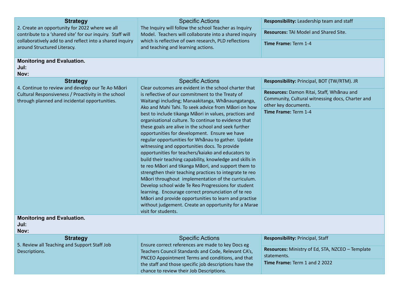| <b>Strategy</b><br>2. Create an opportunity for 2022 where we all<br>contribute to a 'shared site' for our inquiry. Staff will<br>collaboratively add to and reflect into a shared inquiry<br>around Structured Literacy.<br><b>Monitoring and Evaluation.</b> | <b>Specific Actions</b><br>The Inquiry will follow the school Teacher as Inquiry<br>Model. Teachers will collaborate into a shared inquiry<br>which is reflective of own research, PLD reflections<br>and teaching and learning actions.                                                                                                                                                                                                                                                                                                                                                                                                                                                                                                                                                                                                                                     | Responsibility: Leadership team and staff<br><b>Resources: TAI Model and Shared Site.</b><br>Time Frame: Term 1-4                                                                            |
|----------------------------------------------------------------------------------------------------------------------------------------------------------------------------------------------------------------------------------------------------------------|------------------------------------------------------------------------------------------------------------------------------------------------------------------------------------------------------------------------------------------------------------------------------------------------------------------------------------------------------------------------------------------------------------------------------------------------------------------------------------------------------------------------------------------------------------------------------------------------------------------------------------------------------------------------------------------------------------------------------------------------------------------------------------------------------------------------------------------------------------------------------|----------------------------------------------------------------------------------------------------------------------------------------------------------------------------------------------|
| Jul:<br>Nov:                                                                                                                                                                                                                                                   |                                                                                                                                                                                                                                                                                                                                                                                                                                                                                                                                                                                                                                                                                                                                                                                                                                                                              |                                                                                                                                                                                              |
| <b>Strategy</b><br>4. Continue to review and develop our Te Ao Māori<br>Cultural Responsiveness / Proactivity in the school<br>through planned and incidental opportunities.                                                                                   | <b>Specific Actions</b><br>Clear outcomes are evident in the school charter that<br>is reflective of our commitment to the Treaty of<br>Waitangi including; Manaakitanga, Whānaungatanga,<br>Ako and Mahi Tahi. To seek advice from Maori on how<br>best to include tikanga Māori in values, practices and<br>organisational culture. To continue to evidence that<br>these goals are alive in the school and seek further<br>opportunities for development. Ensure we have<br>regular opportunities for Whanau to gather. Update<br>witnessing and opportunities docs. To provide<br>opportunities for teachers/kaiako and educators to<br>build their teaching capability, knowledge and skills in<br>te reo Māori and tikanga Māori, and support them to<br>strengthen their teaching practices to integrate te reo<br>Māori throughout implementation of the curriculum. | Responsibility: Principal, BOT (TW/RTM). JR<br>Resources: Damon Ritai, Staff, Whanau and<br>Community, Cultural witnessing docs, Charter and<br>other key documents.<br>Time Frame: Term 1-4 |
| <b>Monitoring and Evaluation.</b>                                                                                                                                                                                                                              | Develop school wide Te Reo Progressions for student<br>learning. Encourage correct pronunciation of te reo<br>Māori and provide opportunities to learn and practise<br>without judgement. Create an opportunity for a Marae<br>visit for students.                                                                                                                                                                                                                                                                                                                                                                                                                                                                                                                                                                                                                           |                                                                                                                                                                                              |
| Jul:<br>Nov:                                                                                                                                                                                                                                                   |                                                                                                                                                                                                                                                                                                                                                                                                                                                                                                                                                                                                                                                                                                                                                                                                                                                                              |                                                                                                                                                                                              |
| <b>Strategy</b>                                                                                                                                                                                                                                                | <b>Specific Actions</b>                                                                                                                                                                                                                                                                                                                                                                                                                                                                                                                                                                                                                                                                                                                                                                                                                                                      | Responsibility: Principal, Staff                                                                                                                                                             |
| 5. Review all Teaching and Support Staff Job<br>Descriptions.                                                                                                                                                                                                  | Ensure correct references are made to key Docs eg<br>Teachers Council Standards and Code, Relevant CA's,<br>PNCEO Appointment Terms and conditions, and that<br>the staff and those specific job descriptions have the<br>chance to review their Job Descriptions.                                                                                                                                                                                                                                                                                                                                                                                                                                                                                                                                                                                                           | <b>Resources:</b> Ministry of Ed, STA, NZCEO - Template<br>statements.<br>Time Frame: Term 1 and 2 2022                                                                                      |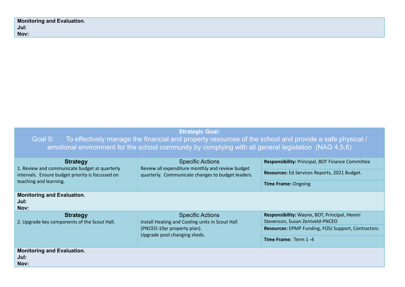| <b>Monitoring and Evaluation.</b> |
|-----------------------------------|
| Jul:                              |
| Nov:                              |

| <b>Strategic Goal:</b><br>To effectively manage the financial and property resources of the school and provide a safe physical /<br>Goal 5:<br>emotional environment for the school community by complying with all general legislation (NAG 4,5,6) |                                                                                                                                           |                                                                                 |
|-----------------------------------------------------------------------------------------------------------------------------------------------------------------------------------------------------------------------------------------------------|-------------------------------------------------------------------------------------------------------------------------------------------|---------------------------------------------------------------------------------|
| <b>Strategy</b><br>1. Review and communicate budget at quarterly<br>intervals. Ensure budget priority is focussed on<br>teaching and learning.                                                                                                      | <b>Specific Actions</b><br>Review all expenditure monthly and review budget<br>quarterly. Communicate changes to budget leaders.          | Responsibility: Principal, BOT Finance Committee                                |
|                                                                                                                                                                                                                                                     |                                                                                                                                           | Resources: Ed Services Reports, 2021 Budget.                                    |
|                                                                                                                                                                                                                                                     |                                                                                                                                           | <b>Time Frame: Ongoing</b>                                                      |
| <b>Monitoring and Evaluation.</b><br>Jul:<br>Nov:                                                                                                                                                                                                   |                                                                                                                                           |                                                                                 |
| <b>Strategy</b><br>2. Upgrade key components of the Scout Hall.                                                                                                                                                                                     | <b>Specific Actions</b><br>Install Heating and Cooling units in Scout Hall<br>(PNCEO-10yr property plan).<br>Upgrade pool changing sheds. | Responsibility: Wayne, BOT, Principal, Heemi<br>Stevenson, Susan Zentveld-PNCEO |
|                                                                                                                                                                                                                                                     |                                                                                                                                           | <b>Resources:</b> EPMP Funding, FOSJ Support, Contractors.                      |
|                                                                                                                                                                                                                                                     |                                                                                                                                           | Time Frame: Term 1-4                                                            |
| <b>Monitoring and Evaluation.</b><br>Jul: .<br>Nov:                                                                                                                                                                                                 |                                                                                                                                           |                                                                                 |